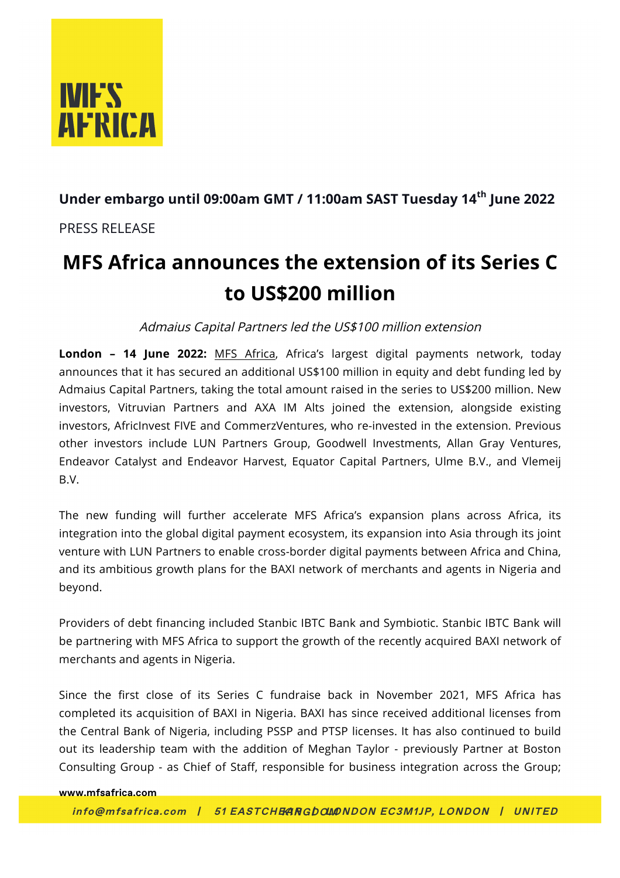

### **Under embargo until 09:00am GMT / 11:00am SAST Tuesday 14th June 2022**

PRESS RELEASE

## **MFS Africa announces the extension of its Series C to US\$200 million**

Admaius Capital Partners led the US\$100 million extension

**London – 14 June 2022:** MFS Africa, Africa's largest digital payments network, today announces that it has secured an additional US\$100 million in equity and debt funding led by Admaius Capital Partners, taking the total amount raised in the series to US\$200 million. New investors, Vitruvian Partners and AXA IM Alts joined the extension, alongside existing investors, AfricInvest FIVE and CommerzVentures, who re-invested in the extension. Previous other investors include LUN Partners Group, Goodwell Investments, Allan Gray Ventures, Endeavor Catalyst and Endeavor Harvest, Equator Capital Partners, Ulme B.V., and Vlemeij B.V.

The new funding will further accelerate MFS Africa's expansion plans across Africa, its integration into the global digital payment ecosystem, its expansion into Asia through its joint venture with LUN Partners to enable cross-border digital payments between Africa and China, and its ambitious growth plans for the BAXI network of merchants and agents in Nigeria and beyond.

Providers of debt financing included Stanbic IBTC Bank and Symbiotic. Stanbic IBTC Bank will be partnering with MFS Africa to support the growth of the recently acquired BAXI network of merchants and agents in Nigeria.

Since the first close of its Series C fundraise back in November 2021, MFS Africa has completed its acquisition of BAXI in Nigeria. BAXI has since received additional licenses from the Central Bank of Nigeria, including PSSP and PTSP licenses. It has also continued to build out its leadership team with the addition of Meghan Taylor - previously Partner at Boston Consulting Group - as Chief of Staff, responsible for business integration across the Group;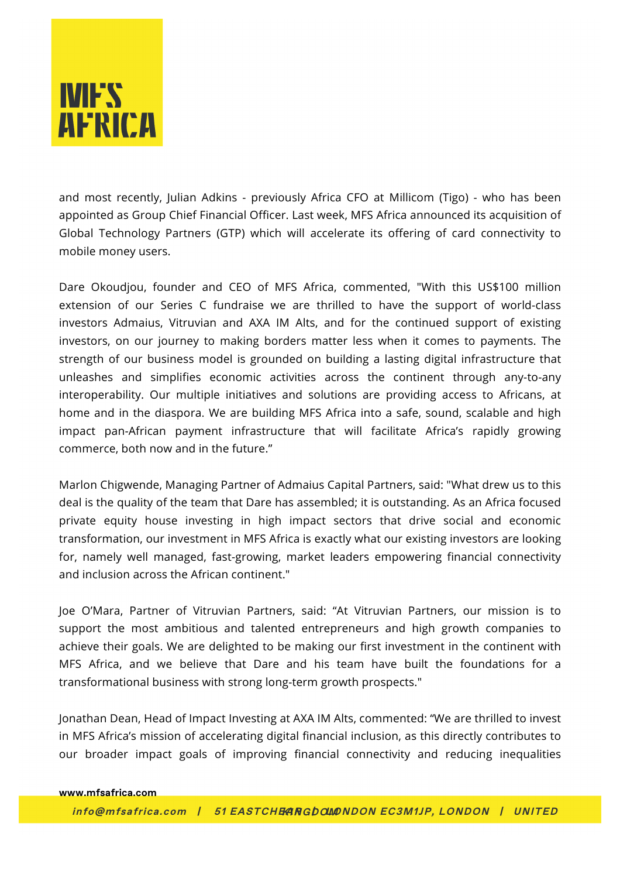# **IVIF'S AFRICA**

and most recently, Julian Adkins - previously Africa CFO at Millicom (Tigo) - who has been appointed as Group Chief Financial Officer. Last week, MFS Africa announced its acquisition of Global Technology Partners (GTP) which will accelerate its offering of card connectivity to mobile money users.

Dare Okoudjou, founder and CEO of MFS Africa, commented, "With this US\$100 million extension of our Series C fundraise we are thrilled to have the support of world-class investors Admaius, Vitruvian and AXA IM Alts, and for the continued support of existing investors, on our journey to making borders matter less when it comes to payments. The strength of our business model is grounded on building a lasting digital infrastructure that unleashes and simplifies economic activities across the continent through any-to-any interoperability. Our multiple initiatives and solutions are providing access to Africans, at home and in the diaspora. We are building MFS Africa into a safe, sound, scalable and high impact pan-African payment infrastructure that will facilitate Africa's rapidly growing commerce, both now and in the future."

Marlon Chigwende, Managing Partner of Admaius Capital Partners, said: "What drew us to this deal is the quality of the team that Dare has assembled; it is outstanding. As an Africa focused private equity house investing in high impact sectors that drive social and economic transformation, our investment in MFS Africa is exactly what our existing investors are looking for, namely well managed, fast-growing, market leaders empowering financial connectivity and inclusion across the African continent."

Joe O'Mara, Partner of Vitruvian Partners, said: "At Vitruvian Partners, our mission is to support the most ambitious and talented entrepreneurs and high growth companies to achieve their goals. We are delighted to be making our first investment in the continent with MFS Africa, and we believe that Dare and his team have built the foundations for a transformational business with strong long-term growth prospects."

Jonathan Dean, Head of Impact Investing at AXA IM Alts, commented: "We are thrilled to invest in MFS Africa's mission of accelerating digital financial inclusion, as this directly contributes to our broader impact goals of improving financial connectivity and reducing inequalities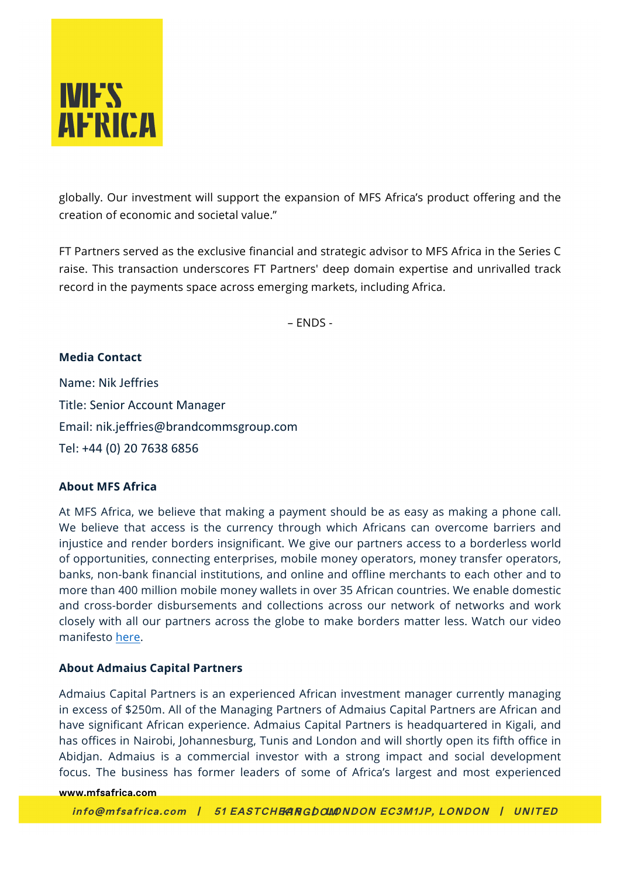

globally. Our investment will support the expansion of MFS Africa's product offering and the creation of economic and societal value."

FT Partners served as the exclusive financial and strategic advisor to MFS Africa in the Series C raise. This transaction underscores FT Partners' deep domain expertise and unrivalled track record in the payments space across emerging markets, including Africa.

– ENDS -

#### **Media Contact**

Name: Nik Jeffries Title: Senior Account Manager Email: nik.jeffries@brandcommsgroup.com Tel: +44 (0) 20 7638 6856

#### **About MFS Africa**

At MFS Africa, we believe that making a payment should be as easy as making a phone call. We believe that access is the currency through which Africans can overcome barriers and injustice and render borders insignificant. We give our partners access to a borderless world of opportunities, connecting enterprises, mobile money operators, money transfer operators, banks, non-bank financial institutions, and online and offline merchants to each other and to more than 400 million mobile money wallets in over 35 African countries. We enable domestic and cross-border disbursements and collections across our network of networks and work closely with all our partners across the globe to make borders matter less. Watch our video manifesto here.

#### **About Admaius Capital Partners**

Admaius Capital Partners is an experienced African investment manager currently managing in excess of \$250m. All of the Managing Partners of Admaius Capital Partners are African and have significant African experience. Admaius Capital Partners is headquartered in Kigali, and has offices in Nairobi, Johannesburg, Tunis and London and will shortly open its fifth office in Abidjan. Admaius is a commercial investor with a strong impact and social development focus. The business has former leaders of some of Africa's largest and most experienced

#### **www.mfsafrica.com**

 **info@mfsafrica.com | 51 EASTCHEAP KINGDOM | LONDON EC3M1JP, LONDON | UNITED**